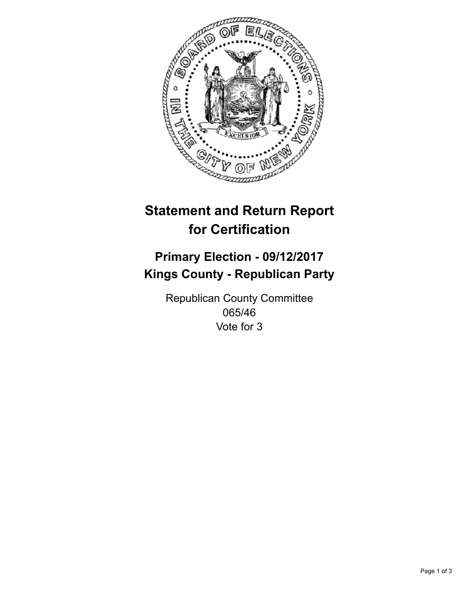

## **Statement and Return Report for Certification**

## **Primary Election - 09/12/2017 Kings County - Republican Party**

Republican County Committee 065/46 Vote for 3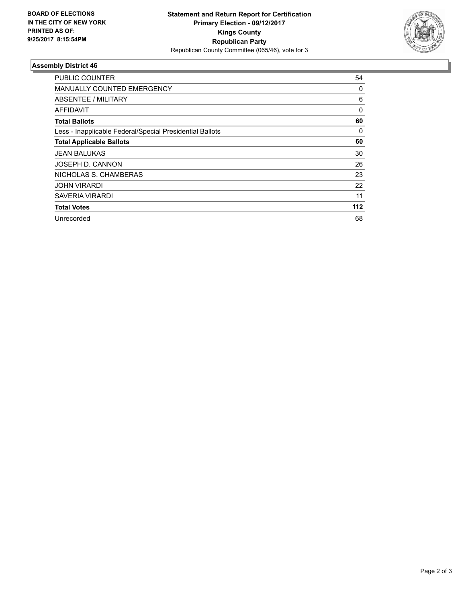

## **Assembly District 46**

| <b>PUBLIC COUNTER</b>                                    | 54       |
|----------------------------------------------------------|----------|
| <b>MANUALLY COUNTED EMERGENCY</b>                        | 0        |
| ABSENTEE / MILITARY                                      | 6        |
| AFFIDAVIT                                                | $\Omega$ |
| <b>Total Ballots</b>                                     | 60       |
| Less - Inapplicable Federal/Special Presidential Ballots | 0        |
| <b>Total Applicable Ballots</b>                          | 60       |
| <b>JEAN BALUKAS</b>                                      | 30       |
| JOSEPH D. CANNON                                         | 26       |
| NICHOLAS S. CHAMBERAS                                    | 23       |
| <b>JOHN VIRARDI</b>                                      | 22       |
| SAVERIA VIRARDI                                          | 11       |
| <b>Total Votes</b>                                       | 112      |
| Unrecorded                                               | 68       |